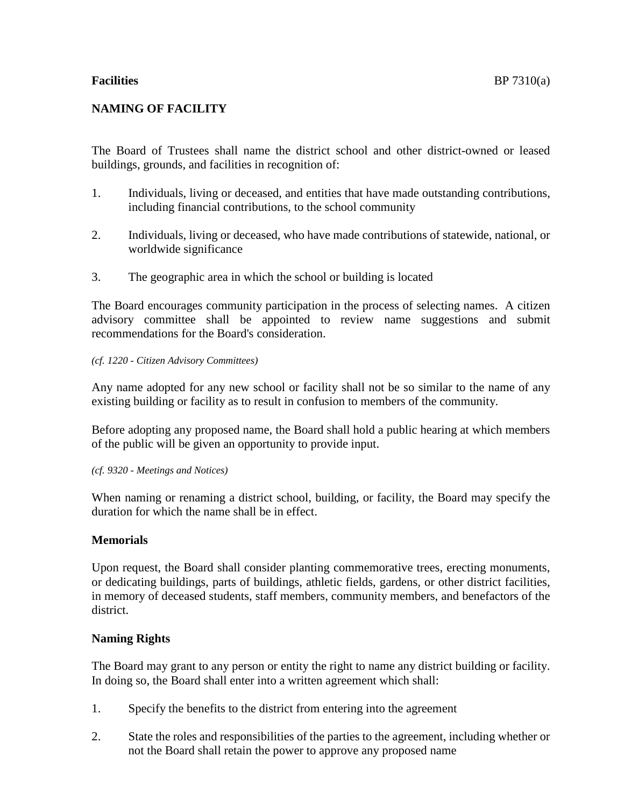# **NAMING OF FACILITY**

The Board of Trustees shall name the district school and other district-owned or leased buildings, grounds, and facilities in recognition of:

- 1. Individuals, living or deceased, and entities that have made outstanding contributions, including financial contributions, to the school community
- 2. Individuals, living or deceased, who have made contributions of statewide, national, or worldwide significance
- 3. The geographic area in which the school or building is located

The Board encourages community participation in the process of selecting names. A citizen advisory committee shall be appointed to review name suggestions and submit recommendations for the Board's consideration.

### *(cf. 1220 - Citizen Advisory Committees)*

Any name adopted for any new school or facility shall not be so similar to the name of any existing building or facility as to result in confusion to members of the community.

Before adopting any proposed name, the Board shall hold a public hearing at which members of the public will be given an opportunity to provide input.

#### *(cf. 9320 - Meetings and Notices)*

When naming or renaming a district school, building, or facility, the Board may specify the duration for which the name shall be in effect.

## **Memorials**

Upon request, the Board shall consider planting commemorative trees, erecting monuments, or dedicating buildings, parts of buildings, athletic fields, gardens, or other district facilities, in memory of deceased students, staff members, community members, and benefactors of the district.

## **Naming Rights**

The Board may grant to any person or entity the right to name any district building or facility. In doing so, the Board shall enter into a written agreement which shall:

- 1. Specify the benefits to the district from entering into the agreement
- 2. State the roles and responsibilities of the parties to the agreement, including whether or not the Board shall retain the power to approve any proposed name